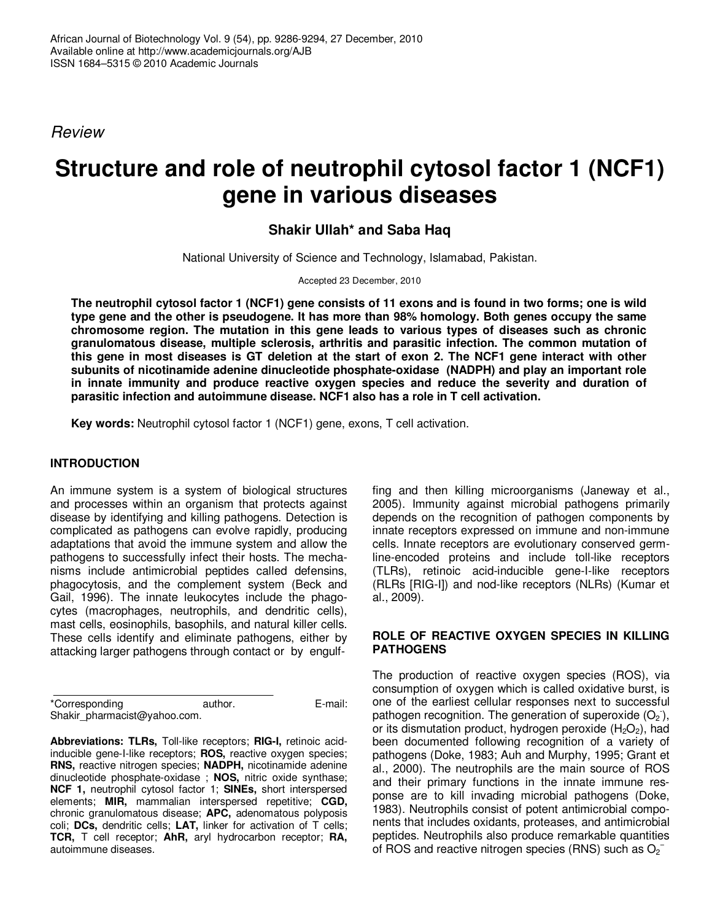*Review*

# **Structure and role of neutrophil cytosol factor 1 (NCF1) gene in various diseases**

# **Shakir Ullah\* and Saba Haq**

National University of Science and Technology, Islamabad, Pakistan.

Accepted 23 December, 2010

The neutrophil cytosol factor 1 (NCF1) gene consists of 11 exons and is found in two forms; one is wild **type gene and the other is pseudogene. It has more than 98% homology. Both genes occupy the same chromosome region. The mutation in this gene leads to various types of diseases such as chronic granulomatous disease, multiple sclerosis, arthritis and parasitic infection. The common mutation of** this gene in most diseases is GT deletion at the start of exon 2. The NCF1 gene interact with other **subunits of nicotinamide adenine dinucleotide phosphate-oxidase (NADPH) and play an important role in innate immunity and produce reactive oxygen species and reduce the severity and duration of parasitic infection and autoimmune disease. NCF1 also has a role in T cell activation.**

**Key words:** Neutrophil cytosol factor 1 (NCF1) gene, exons, T cell activation.

## **INTRODUCTION**

An immune system is a system of biological structures and processes within an organism that protects against disease by identifying and killing pathogens. Detection is complicated as pathogens can evolve rapidly, producing adaptations that avoid the immune system and allow the pathogens to successfully infect their hosts. The mechanisms include antimicrobial peptides called defensins, phagocytosis, and the complement system (Beck and Gail, 1996). The innate leukocytes include the phagocytes (macrophages, neutrophils, and dendritic cells), mast cells, eosinophils, basophils, and natural killer cells. These cells identify and eliminate pathogens, either by attacking larger pathogens through contact or by engulf-

\*Corresponding author. E-mail: Shakir\_pharmacist@yahoo.com.

**Abbreviations: TLRs,** Toll-like receptors; **RIG-I,** retinoic acidinducible gene-I-like receptors; **ROS,** reactive oxygen species; **RNS,** reactive nitrogen species; **NADPH,** nicotinamide adenine dinucleotide phosphate-oxidase ; **NOS,** nitric oxide synthase; **NCF 1,** neutrophil cytosol factor 1; **SINEs,** short interspersed elements; **MIR,** mammalian interspersed repetitive; **CGD,** chronic granulomatous disease; **APC,** adenomatous polyposis coli; **DCs,** dendritic cells; **LAT,** linker for activation of T cells; **TCR,** T cell receptor; **AhR,** aryl hydrocarbon receptor; **RA,** autoimmune diseases.

fing and then killing microorganisms (Janeway et al., 2005). Immunity against microbial pathogens primarily depends on the recognition of pathogen components by innate receptors expressed on immune and non-immune cells. Innate receptors are evolutionary conserved germline-encoded proteins and include toll-like receptors (TLRs), retinoic acid-inducible gene-I-like receptors (RLRs [RIG-I]) and nod-like receptors (NLRs) (Kumar et al., 2009).

#### **ROLE OF REACTIVE OXYGEN SPECIES IN KILLING PATHOGENS**

The production of reactive oxygen species (ROS), via consumption of oxygen which is called oxidative burst, is one of the earliest cellular responses next to successful pathogen recognition. The generation of superoxide  $(O_2)$ , or its dismutation product, hydrogen peroxide  $(H_2O_2)$ , had been documented following recognition of a variety of pathogens (Doke, 1983; Auh and Murphy, 1995; Grant et al., 2000). The neutrophils are the main source of ROS and their primary functions in the innate immune response are to kill invading microbial pathogens (Doke, 1983). Neutrophils consist of potent antimicrobial components that includes oxidants, proteases, and antimicrobial peptides. Neutrophils also produce remarkable quantities of ROS and reactive nitrogen species (RNS) such as  $O_2^-$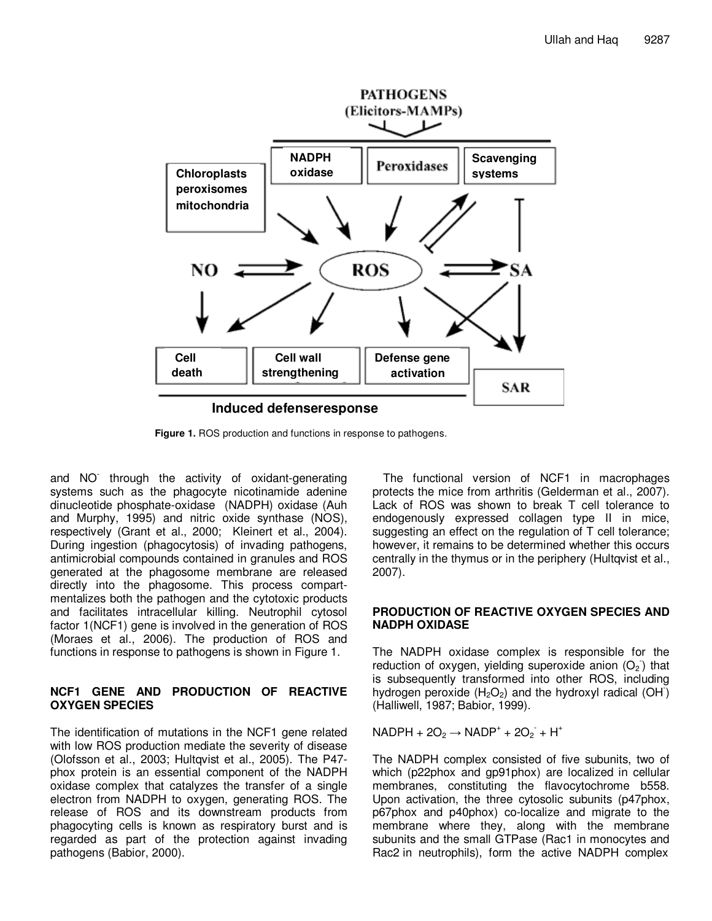

**Figure 1.** ROS production and functions in response to pathogens.

and NO - through the activity of oxidant-generating systems such as the phagocyte nicotinamide adenine dinucleotide phosphate-oxidase (NADPH) oxidase (Auh and Murphy, 1995) and nitric oxide synthase (NOS), respectively (Grant et al., 2000; Kleinert et al., 2004). During ingestion (phagocytosis) of invading pathogens, antimicrobial compounds contained in granules and ROS generated at the phagosome membrane are released directly into the phagosome. This process compartmentalizes both the pathogen and the cytotoxic products and facilitates intracellular killing. Neutrophil cytosol factor 1(NCF1) gene is involved in the generation of ROS (Moraes et al., 2006). The production of ROS and functions in response to pathogens is shown in Figure 1.

#### **NCF1 GENE AND PRODUCTION OF REACTIVE OXYGEN SPECIES**

The identification of mutations in the NCF1 gene related with low ROS production mediate the severity of disease (Olofsson et al., 2003; Hultqvist et al., 2005). The P47 phox protein is an essential component of the NADPH oxidase complex that catalyzes the transfer of a single electron from NADPH to oxygen, generating ROS. The release of ROS and its downstream products from phagocyting cells is known as respiratory burst and is regarded as part of the protection against invading pathogens (Babior, 2000).

The functional version of NCF1 in macrophages protects the mice from arthritis (Gelderman et al., 2007). Lack of ROS was shown to break T cell tolerance to endogenously expressed collagen type II in mice, suggesting an effect on the regulation of T cell tolerance; however, it remains to be determined whether this occurs centrally in the thymus or in the periphery (Hultqvist et al., 2007).

#### **PRODUCTION OF REACTIVE OXYGEN SPECIES AND NADPH OXIDASE**

The NADPH oxidase complex is responsible for the reduction of oxygen, yielding superoxide anion  $(O_2)$  that is subsequently transformed into other ROS, including hydrogen peroxide ( $H_2O_2$ ) and the hydroxyl radical (OH) (Halliwell, 1987; Babior, 1999).

 $NADPH + 2O_2 \rightarrow NADP^+ + 2O_2 + H^+$ 

The NADPH complex consisted of five subunits, two of which (p22phox and gp91phox) are localized in cellular membranes, constituting the flavocytochrome b558. Upon activation, the three cytosolic subunits (p47phox, p67phox and p40phox) co-localize and migrate to the membrane where they, along with the membrane subunits and the small GTPase (Rac1 in monocytes and Rac2 in neutrophils), form the active NADPH complex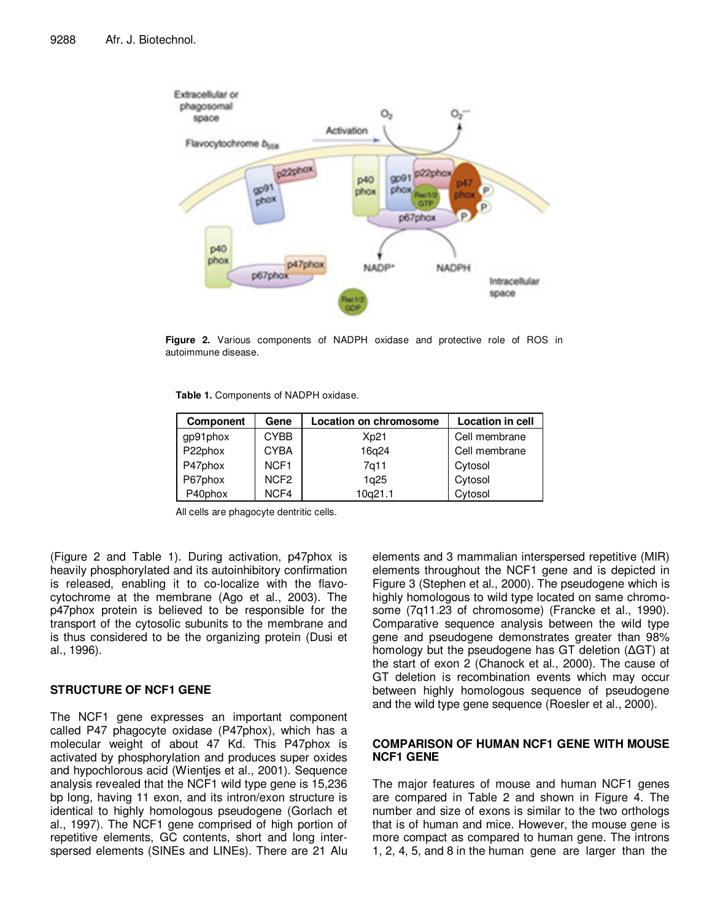

**Figure 2.** Various components of NADPH oxidase and protective role of ROS in autoimmune disease.

**Table 1.** Components of NADPH oxidase.

| <b>Component</b> | Gene             | Location on chromosome | <b>Location in cell</b> |  |
|------------------|------------------|------------------------|-------------------------|--|
| gp91phox         | <b>CYBB</b>      | Xp21                   | Cell membrane           |  |
| P22phox          | <b>CYBA</b>      | 16q24                  | Cell membrane           |  |
| P47phox          | NCF <sub>1</sub> | 7g11                   | Cytosol                 |  |
| P67phox          | NCF <sub>2</sub> | 1q25                   | Cytosol                 |  |
| P40phox          | NCF4             | 10q21.1                | Cytosol                 |  |

All cells are phagocyte dentritic cells.

(Figure 2 and Table 1). During activation, p47phox is heavily phosphorylated and its autoinhibitory confirmation is released, enabling it to co-localize with the flavocytochrome at the membrane (Ago et al., 2003). The p47phox protein is believed to be responsible for the transport of the cytosolic subunits to the membrane and is thus considered to be the organizing protein (Dusi et al., 1996).

## **STRUCTURE OF NCF1 GENE**

The NCF1 gene expresses an important component called P47 phagocyte oxidase (P47phox), which has a molecular weight of about 47 Kd. This P47phox is activated by phosphorylation and produces super oxides and hypochlorous acid (Wientjes et al., 2001). Sequence analysis revealed that the NCF1 wild type gene is 15,236 bp long, having 11 exon, and its intron/exon structure is identical to highly homologous pseudogene (Gorlach et al., 1997). The NCF1 gene comprised of high portion of repetitive elements, GC contents, short and long interspersed elements (SINEs and LINEs). There are 21 Alu elements and 3 mammalian interspersed repetitive (MIR) elements throughout the NCF1 gene and is depicted in Figure 3 (Stephen et al., 2000). The pseudogene which is highly homologous to wild type located on same chromosome (7q11.23 of chromosome) (Francke et al., 1990). Comparative sequence analysis between the wild type gene and pseudogene demonstrates greater than 98% homology but the pseudogene has GT deletion  $(AGT)$  at the start of exon 2 (Chanock et al., 2000). The cause of GT deletion is recombination events which may occur between highly homologous sequence of pseudogene and the wild type gene sequence (Roesler et al., 2000).

#### **COMPARISON OF HUMAN NCF1 GENE WITH MOUSE NCF1 GENE**

The major features of mouse and human NCF1 genes are compared in Table 2 and shown in Figure 4. The number and size of exons is similar to the two orthologs that is of human and mice. However, the mouse gene is more compact as compared to human gene. The introns 1, 2, 4, 5, and 8 in the human gene are larger than the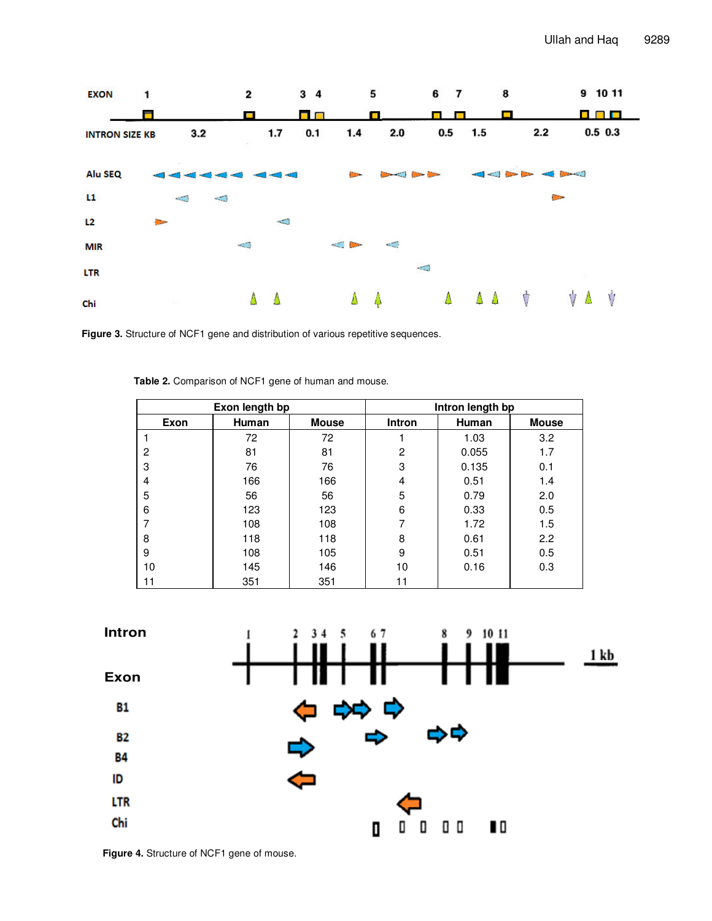

**Figure 3.** Structure of NCF1 gene and distribution of various repetitive sequences.

| Exon length bp |              |              | Intron length bp |       |              |
|----------------|--------------|--------------|------------------|-------|--------------|
| Exon           | <b>Human</b> | <b>Mouse</b> | <b>Intron</b>    | Human | <b>Mouse</b> |
|                | 72           | 72           |                  | 1.03  | 3.2          |
| 2              | 81           | 81           | 2                | 0.055 | 1.7          |
| 3              | 76           | 76           | 3                | 0.135 | 0.1          |
| 4              | 166          | 166          | 4                | 0.51  | 1.4          |
| 5              | 56           | 56           | 5                | 0.79  | 2.0          |
| 6              | 123          | 123          | 6                | 0.33  | 0.5          |
|                | 108          | 108          | 7                | 1.72  | 1.5          |
| 8              | 118          | 118          | 8                | 0.61  | 2.2          |
| 9              | 108          | 105          | 9                | 0.51  | 0.5          |
| 10             | 145          | 146          | 10               | 0.16  | 0.3          |
| 11             | 351          | 351          | 11               |       |              |

**Table 2.** Comparison of NCF1 gene of human and mouse.



**Figure 4.** Structure of NCF1 gene of mouse.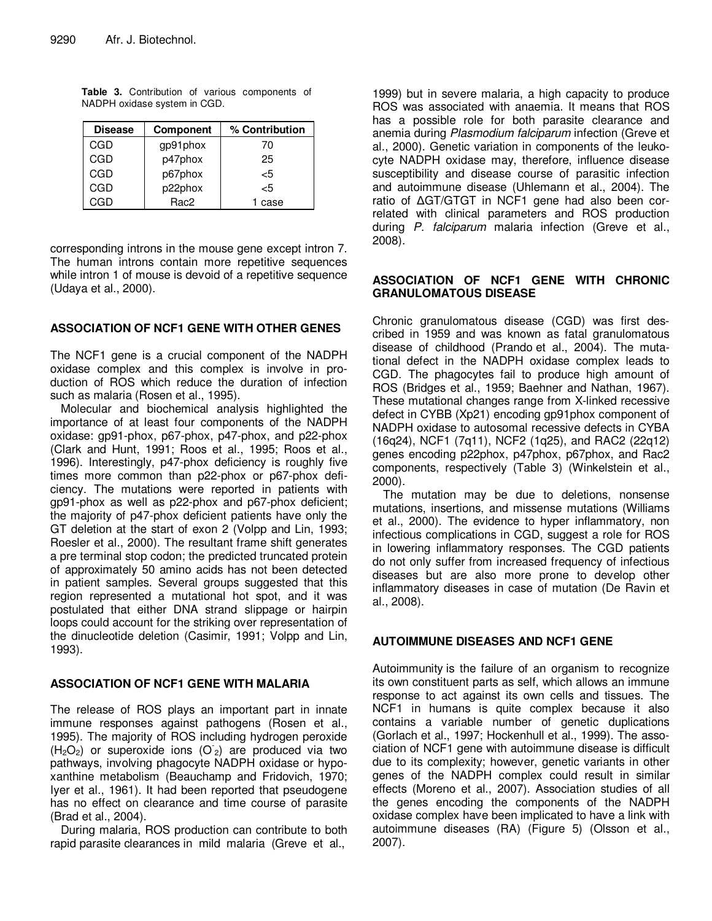| <b>Disease</b> | <b>Component</b> | % Contribution |
|----------------|------------------|----------------|
| CGD            | gp91phox         | 70             |
| CGD            | p47phox          | 25             |
| CGD            | p67phox          | -5             |
| CGD            | p22phox          | -5             |
| CGD            | Rac <sub>2</sub> | case           |

**Table 3.** Contribution of various components of NADPH oxidase system in CGD.

corresponding introns in the mouse gene except intron 7. The human introns contain more repetitive sequences while intron 1 of mouse is devoid of a repetitive sequence (Udaya et al., 2000).

#### **ASSOCIATION OF NCF1 GENE WITH OTHER GENES**

The NCF1 gene is a crucial component of the NADPH oxidase complex and this complex is involve in production of ROS which reduce the duration of infection such as malaria (Rosen et al., 1995).

Molecular and biochemical analysis highlighted the importance of at least four components of the NADPH oxidase: gp91-phox, p67-phox, p47-phox, and p22-phox (Clark and Hunt, 1991; Roos et al., 1995; Roos et al., 1996). Interestingly, p47-phox deficiency is roughly five times more common than p22-phox or p67-phox deficiency. The mutations were reported in patients with gp91-phox as well as p22-phox and p67-phox deficient; the majority of p47-phox deficient patients have only the GT deletion at the start of exon 2 (Volpp and Lin, 1993; Roesler et al., 2000). The resultant frame shift generates a pre terminal stop codon; the predicted truncated protein of approximately 50 amino acids has not been detected in patient samples. Several groups suggested that this region represented a mutational hot spot, and it was postulated that either DNA strand slippage or hairpin loops could account for the striking over representation of the dinucleotide deletion (Casimir, 1991; Volpp and Lin, 1993).

#### **ASSOCIATION OF NCF1 GENE WITH MALARIA**

The release of ROS plays an important part in innate immune responses against pathogens (Rosen et al., 1995). The majority of ROS including hydrogen peroxide  $(H<sub>2</sub>O<sub>2</sub>)$  or superoxide ions (O<sub>2</sub>) are produced via two pathways, involving phagocyte NADPH oxidase or hypoxanthine metabolism (Beauchamp and Fridovich, 1970; Iyer et al., 1961). It had been reported that pseudogene has no effect on clearance and time course of parasite (Brad et al., 2004).

During malaria, ROS production can contribute to both rapid parasite clearances in mild malaria (Greve et al.,

1999) but in severe malaria, a high capacity to produce ROS was associated with anaemia. It means that ROS has a possible role for both parasite clearance and anemia during *Plasmodium falciparum* infection (Greve et al., 2000). Genetic variation in components of the leukocyte NADPH oxidase may, therefore, influence disease susceptibility and disease course of parasitic infection and autoimmune disease (Uhlemann et al., 2004). The ratio of AGT/GTGT in NCF1 gene had also been correlated with clinical parameters and ROS production during *P. falciparum* malaria infection (Greve et al., 2008).

#### **ASSOCIATION OF NCF1 GENE WITH CHRONIC GRANULOMATOUS DISEASE**

Chronic granulomatous disease (CGD) was first described in 1959 and was known as fatal granulomatous disease of childhood (Prando et al., 2004). The mutational defect in the NADPH oxidase complex leads to CGD. The phagocytes fail to produce high amount of ROS (Bridges et al., 1959; Baehner and Nathan, 1967). These mutational changes range from X-linked recessive defect in CYBB (Xp21) encoding gp91phox component of NADPH oxidase to autosomal recessive defects in CYBA (16q24), NCF1 (7q11), NCF2 (1q25), and RAC2 (22q12) genes encoding p22phox, p47phox, p67phox, and Rac2 components, respectively (Table 3) (Winkelstein et al., 2000).

The mutation may be due to deletions, nonsense mutations, insertions, and missense mutations (Williams et al., 2000). The evidence to hyper inflammatory, non infectious complications in CGD, suggest a role for ROS in lowering inflammatory responses. The CGD patients do not only suffer from increased frequency of infectious diseases but are also more prone to develop other inflammatory diseases in case of mutation (De Ravin et al., 2008).

## **AUTOIMMUNE DISEASES AND NCF1 GENE**

Autoimmunity is the failure of an organism to recognize its own constituent parts as self, which allows an immune response to act against its own cells and tissues. The NCF1 in humans is quite complex because it also contains a variable number of genetic duplications (Gorlach et al., 1997; Hockenhull et al., 1999). The association of NCF1 gene with autoimmune disease is difficult due to its complexity; however, genetic variants in other genes of the NADPH complex could result in similar effects (Moreno et al., 2007). Association studies of all the genes encoding the components of the NADPH oxidase complex have been implicated to have a link with autoimmune diseases (RA) (Figure 5) (Olsson et al., 2007).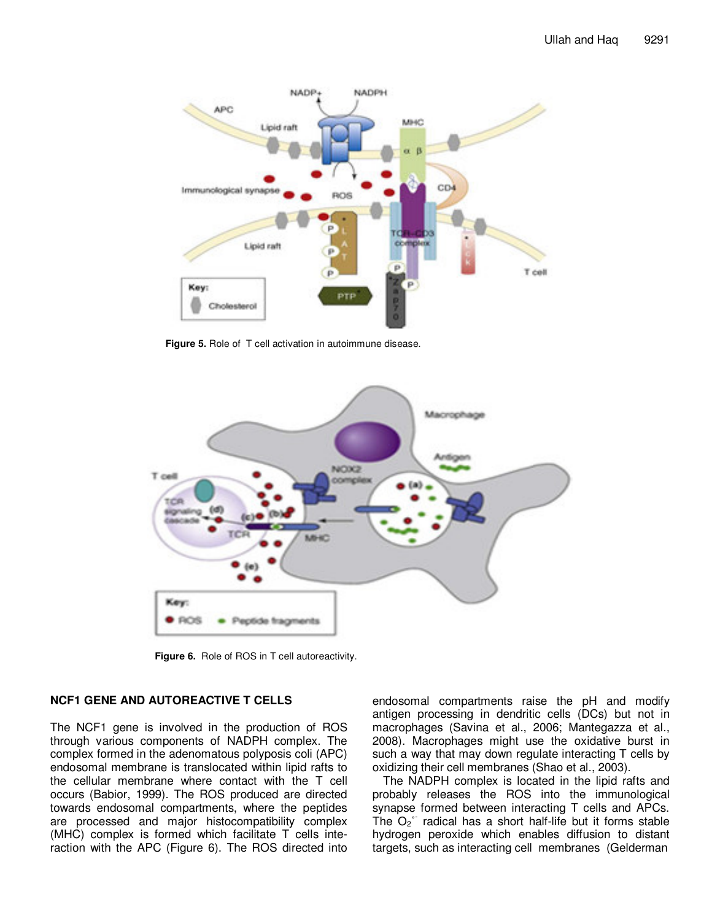

**Figure 5.** Role of T cell activation in autoimmune disease.



**Figure 6.** Role of ROS in T cell autoreactivity.

# **NCF1 GENE AND AUTOREACTIVE T CELLS**

The NCF1 gene is involved in the production of ROS through various components of NADPH complex. The complex formed in the adenomatous polyposis coli (APC) endosomal membrane is translocated within lipid rafts to the cellular membrane where contact with the T cell occurs (Babior, 1999). The ROS produced are directed towards endosomal compartments, where the peptides are processed and major histocompatibility complex (MHC) complex is formed which facilitate T cells interaction with the APC (Figure 6). The ROS directed into

endosomal compartments raise the pH and modify antigen processing in dendritic cells (DCs) but not in macrophages (Savina et al., 2006; Mantegazza et al., 2008). Macrophages might use the oxidative burst in such a way that may down regulate interacting T cells by oxidizing their cell membranes (Shao et al., 2003).

The NADPH complex is located in the lipid rafts and probably releases the ROS into the immunological synapse formed between interacting T cells and APCs. The  $O_2$ <sup>\*</sup> radical has a short half-life but it forms stable hydrogen peroxide which enables diffusion to distant targets, such as interacting cell membranes (Gelderman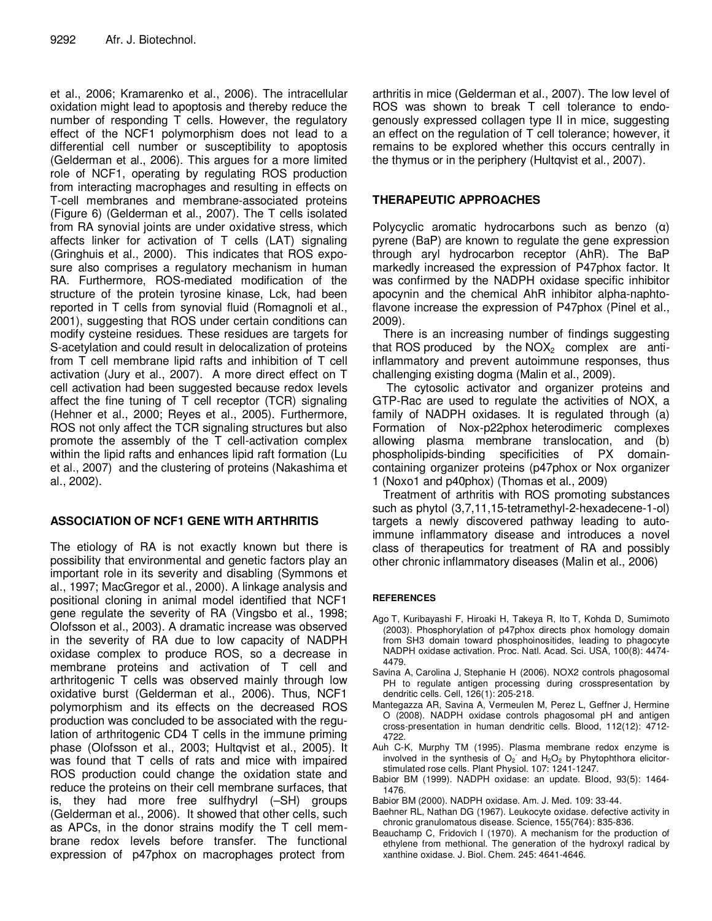et al., 2006; Kramarenko et al., 2006). The intracellular oxidation might lead to apoptosis and thereby reduce the number of responding T cells. However, the regulatory effect of the NCF1 polymorphism does not lead to a differential cell number or susceptibility to apoptosis (Gelderman et al., 2006). This argues for a more limited role of NCF1, operating by regulating ROS production from interacting macrophages and resulting in effects on T-cell membranes and membrane-associated proteins (Figure 6) (Gelderman et al., 2007). The T cells isolated from RA synovial joints are under oxidative stress, which affects linker for activation of T cells (LAT) signaling (Gringhuis et al., 2000). This indicates that ROS exposure also comprises a regulatory mechanism in human RA. Furthermore, ROS-mediated modification of the structure of the protein tyrosine kinase, Lck, had been reported in T cells from synovial fluid (Romagnoli et al., 2001), suggesting that ROS under certain conditions can modify cysteine residues. These residues are targets for S-acetylation and could result in delocalization of proteins from T cell membrane lipid rafts and inhibition of T cell activation (Jury et al., 2007). A more direct effect on T cell activation had been suggested because redox levels affect the fine tuning of T cell receptor (TCR) signaling (Hehner et al., 2000; Reyes et al., 2005). Furthermore, ROS not only affect the TCR signaling structures but also promote the assembly of the T cell-activation complex within the lipid rafts and enhances lipid raft formation (Lu et al., 2007) and the clustering of proteins (Nakashima et al., 2002).

# **ASSOCIATION OF NCF1 GENE WITH ARTHRITIS**

The etiology of RA is not exactly known but there is possibility that environmental and genetic factors play an important role in its severity and disabling (Symmons et al., 1997; MacGregor et al., 2000). A linkage analysis and positional cloning in animal model identified that NCF1 gene regulate the severity of RA (Vingsbo et al., 1998; Olofsson et al., 2003). A dramatic increase was observed in the severity of RA due to low capacity of NADPH oxidase complex to produce ROS, so a decrease in membrane proteins and activation of T cell and arthritogenic T cells was observed mainly through low oxidative burst (Gelderman et al., 2006). Thus, NCF1 polymorphism and its effects on the decreased ROS production was concluded to be associated with the regulation of arthritogenic CD4 T cells in the immune priming phase (Olofsson et al., 2003; Hultqvist et al., 2005). It was found that T cells of rats and mice with impaired ROS production could change the oxidation state and reduce the proteins on their cell membrane surfaces, that is, they had more free sulfhydryl (–SH) groups (Gelderman et al., 2006). It showed that other cells, such as APCs, in the donor strains modify the T cell membrane redox levels before transfer. The functional expression of p47phox on macrophages protect from

arthritis in mice (Gelderman et al., 2007). The low level of ROS was shown to break T cell tolerance to endogenously expressed collagen type II in mice, suggesting an effect on the regulation of T cell tolerance; however, it remains to be explored whether this occurs centrally in the thymus or in the periphery (Hultqvist et al., 2007).

# **THERAPEUTIC APPROACHES**

Polycyclic aromatic hydrocarbons such as benzo  $(a)$ pyrene (BaP) are known to regulate the gene expression through aryl hydrocarbon receptor (AhR). The BaP markedly increased the expression of P47phox factor. It was confirmed by the NADPH oxidase specific inhibitor apocynin and the chemical AhR inhibitor alpha-naphtoflavone increase the expression of P47phox (Pinel et al., 2009).

There is an increasing number of findings suggesting that ROS produced by the  $NOX<sub>2</sub>$  complex are antiinflammatory and prevent autoimmune responses, thus challenging existing dogma (Malin et al., 2009).

The cytosolic activator and organizer proteins and GTP-Rac are used to regulate the activities of NOX, a family of NADPH oxidases. It is regulated through (a) Formation of Nox-p22phox heterodimeric complexes allowing plasma membrane translocation, and (b) phospholipids-binding specificities of PX domaincontaining organizer proteins (p47phox or Nox organizer 1 (Noxo1 and p40phox) (Thomas et al., 2009)

Treatment of arthritis with ROS promoting substances such as phytol (3,7,11,15-tetramethyl-2-hexadecene-1-ol) targets a newly discovered pathway leading to autoimmune inflammatory disease and introduces a novel class of therapeutics for treatment of RA and possibly other chronic inflammatory diseases (Malin et al., 2006)

## **REFERENCES**

- Ago T, Kuribayashi F, Hiroaki H, Takeya R, Ito T, Kohda D, Sumimoto (2003). Phosphorylation of p47phox directs phox homology domain from SH3 domain toward phosphoinositides, leading to phagocyte NADPH oxidase activation. Proc. Natl. Acad. Sci. USA, 100(8): 4474- 4479.
- Savina A, Carolina J, Stephanie H (2006). NOX2 controls phagosomal PH to regulate antigen processing during crosspresentation by dendritic cells. Cell, 126(1): 205-218.
- Mantegazza AR, Savina A, Vermeulen M, Perez L, Geffner J, Hermine O (2008). NADPH oxidase controls phagosomal pH and antigen cross-presentation in human dendritic cells. Blood, 112(12): 4712- 4722.
- Auh C-K, Murphy TM (1995). Plasma membrane redox enzyme is involved in the synthesis of  $O_2$  and  $H_2O_2$  by Phytophthora elicitorstimulated rose cells. Plant Physiol. 107: 1241-1247.
- Babior BM (1999). NADPH oxidase: an update. Blood, 93(5): 1464- 1476.
- Babior BM (2000). NADPH oxidase. Am. J. Med. 109: 33-44.
- Baehner RL, Nathan DG (1967). Leukocyte oxidase. defective activity in chronic granulomatous disease. Science, 155(764): 835-836.
- Beauchamp C, Fridovich I (1970). A mechanism for the production of ethylene from methional. The generation of the hydroxyl radical by xanthine oxidase. J. Biol. Chem. 245: 4641-4646.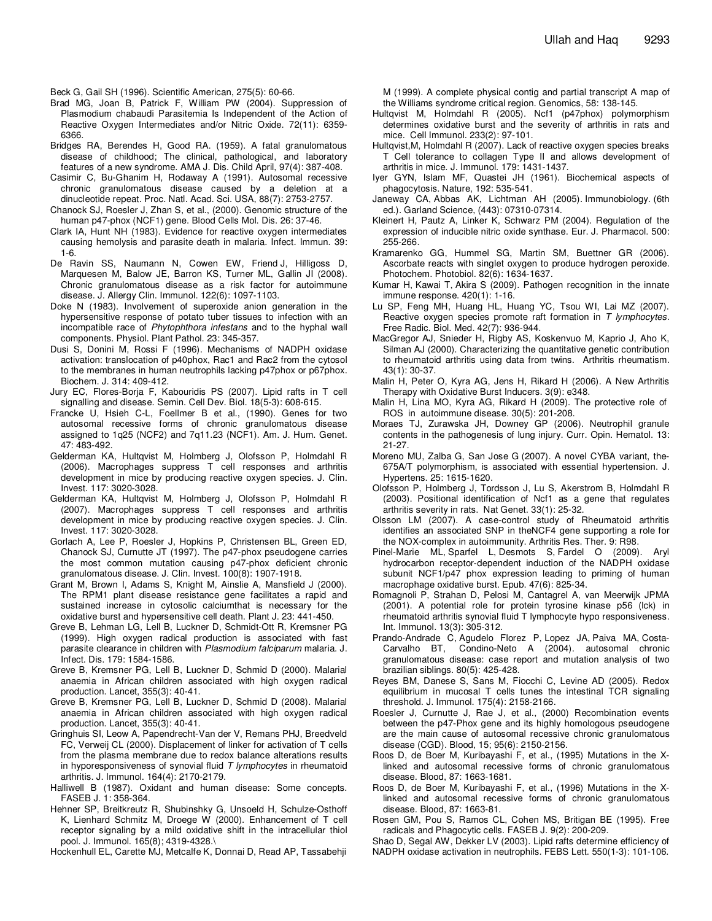Beck G, Gail SH (1996). Scientific American, 275(5): 60-66.

- Brad MG, Joan B, Patrick F, William PW (2004). Suppression of Plasmodium chabaudi Parasitemia Is Independent of the Action of Reactive Oxygen Intermediates and/or Nitric Oxide. 72(11): 6359- 6366.
- Bridges RA, Berendes H, Good RA. (1959). A fatal granulomatous disease of childhood; The clinical, pathological, and laboratory features of a new syndrome. AMA J. Dis. Child April, 97(4): 387-408.
- Casimir C, Bu-Ghanim H, Rodaway A (1991). Autosomal recessive chronic granulomatous disease caused by a deletion at a dinucleotide repeat. Proc. Natl. Acad. Sci. USA, 88(7): 2753-2757.
- Chanock SJ, Roesler J, Zhan S, et al., (2000). Genomic structure of the human p47-phox (NCF1) gene. Blood Cells Mol. Dis. 26: 37-46.
- Clark IA, Hunt NH (1983). Evidence for reactive oxygen intermediates causing hemolysis and parasite death in malaria. Infect. Immun. 39: 1-6.
- De Ravin SS, Naumann N, Cowen EW, Friend J, Hilligoss D, Marquesen M, Balow JE, Barron KS, Turner ML, Gallin JI (2008). Chronic granulomatous disease as a risk factor for autoimmune disease. J. Allergy Clin. Immunol. 122(6): 1097-1103.
- Doke N (1983). Involvement of superoxide anion generation in the hypersensitive response of potato tuber tissues to infection with an incompatible race of *Phytophthora infestans* and to the hyphal wall components. Physiol. Plant Pathol. 23: 345-357.
- Dusi S, Donini M, Rossi F (1996). Mechanisms of NADPH oxidase activation: translocation of p40phox, Rac1 and Rac2 from the cytosol to the membranes in human neutrophils lacking p47phox or p67phox. Biochem. J. 314: 409-412.
- Jury EC, Flores-Borja F, Kabouridis PS (2007). Lipid rafts in T cell signalling and disease. Semin. Cell Dev. Biol. 18(5-3): 608-615.
- Francke U, Hsieh C-L, Foellmer B et al., (1990). Genes for two autosomal recessive forms of chronic granulomatous disease assigned to 1q25 (NCF2) and 7q11.23 (NCF1). Am. J. Hum. Genet. 47: 483-492.
- Gelderman KA, Hultqvist M, Holmberg J, Olofsson P, Holmdahl R (2006). Macrophages suppress T cell responses and arthritis development in mice by producing reactive oxygen species. J. Clin. Invest. 117: 3020-3028.
- Gelderman KA, Hultqvist M, Holmberg J, Olofsson P, Holmdahl R (2007). Macrophages suppress T cell responses and arthritis development in mice by producing reactive oxygen species. J. Clin. Invest. 117: 3020-3028.
- Gorlach A, Lee P, Roesler J, Hopkins P, Christensen BL, Green ED, Chanock SJ, Curnutte JT (1997). The p47-phox pseudogene carries the most common mutation causing p47-phox deficient chronic granulomatous disease. J. Clin. Invest. 100(8): 1907-1918.
- Grant M, Brown I, Adams S, Knight M, Ainslie A, Mansfield J (2000). The RPM1 plant disease resistance gene facilitates a rapid and sustained increase in cytosolic calciumthat is necessary for the oxidative burst and hypersensitive cell death. Plant J. 23: 441-450.
- Greve B, Lehman LG, Lell B, Luckner D, Schmidt-Ott R, Kremsner PG (1999). High oxygen radical production is associated with fast parasite clearance in children with *Plasmodium falciparum* malaria. J. Infect. Dis. 179: 1584-1586.
- Greve B, Kremsner PG, Lell B, Luckner D, Schmid D (2000). Malarial anaemia in African children associated with high oxygen radical production. Lancet, 355(3): 40-41.
- Greve B, Kremsner PG, Lell B, Luckner D, Schmid D (2008). Malarial anaemia in African children associated with high oxygen radical production. Lancet, 355(3): 40-41.
- Gringhuis SI, Leow A, Papendrecht-Van der V, Remans PHJ, Breedveld FC, Verweij CL (2000). Displacement of linker for activation of T cells from the plasma membrane due to redox balance alterations results in hyporesponsiveness of synovial fluid *T lymphocytes* in rheumatoid arthritis. J. Immunol. 164(4): 2170-2179.
- Halliwell B (1987). Oxidant and human disease: Some concepts. FASEB J. 1: 358-364.
- Hehner SP, Breitkreutz R, Shubinshky G, Unsoeld H, Schulze-Osthoff K, Lienhard Schmitz M, Droege W (2000). Enhancement of T cell receptor signaling by a mild oxidative shift in the intracellular thiol pool. J. Immunol. 165(8); 4319-4328.\

Hockenhull EL, Carette MJ, Metcalfe K, Donnai D, Read AP, Tassabehji

M (1999). A complete physical contig and partial transcript A map of the Williams syndrome critical region. Genomics, 58: 138-145.

- Hultqvist M, Holmdahl R (2005). Ncf1 (p47phox) polymorphism determines oxidative burst and the severity of arthritis in rats and mice. Cell Immunol. 233(2): 97-101.
- Hultqvist,M, Holmdahl R (2007). Lack of reactive oxygen species breaks T Cell tolerance to collagen Type II and allows development of arthritis in mice. J. Immunol. 179: 1431-1437.
- Iyer GYN, Islam MF, Quastei JH (1961). Biochemical aspects of phagocytosis. Nature, 192: 535-541.
- Janeway CA, Abbas AK, Lichtman AH (2005). Immunobiology. (6th ed.). Garland Science, (443): 07310-07314.
- Kleinert H, Pautz A, Linker K, Schwarz PM (2004). Regulation of the expression of inducible nitric oxide synthase. Eur. J. Pharmacol. 500: 255-266.
- Kramarenko GG, Hummel SG, Martin SM, Buettner GR (2006). Ascorbate reacts with singlet oxygen to produce hydrogen peroxide. Photochem. Photobiol. 82(6): 1634-1637.
- Kumar H, Kawai T, Akira S (2009). Pathogen recognition in the innate immune response. 420(1): 1-16.
- Lu SP, Feng MH, Huang HL, Huang YC, Tsou WI, Lai MZ (2007). Reactive oxygen species promote raft formation in *T lymphocytes*. Free Radic. Biol. Med. 42(7): 936-944.
- MacGregor AJ, Snieder H, Rigby AS, Koskenvuo M, Kaprio J, Aho K, Silman AJ (2000). Characterizing the quantitative genetic contribution to rheumatoid arthritis using data from twins. Arthritis rheumatism. 43(1): 30-37.
- Malin H, Peter O, Kyra AG, Jens H, Rikard H (2006). A New Arthritis Therapy with Oxidative Burst Inducers. 3(9): e348.
- Malin H, Lina MO, Kyra AG, Rikard H (2009). The protective role of ROS in autoimmune disease. 30(5): 201-208.
- Moraes TJ, Zurawska JH, Downey GP (2006). Neutrophil granule contents in the pathogenesis of lung injury. Curr. Opin. Hematol. 13: 21-27.
- Moreno MU, Zalba G, San Jose G (2007). A novel CYBA variant, the-675A/T polymorphism, is associated with essential hypertension. J. Hypertens. 25: 1615-1620.
- Olofsson P, Holmberg J, Tordsson J, Lu S, Akerstrom B, Holmdahl R (2003). Positional identification of Ncf1 as a gene that regulates arthritis severity in rats. Nat Genet. 33(1): 25-32.
- Olsson LM (2007). A case-control study of Rheumatoid arthritis identifies an associated SNP in theNCF4 gene supporting a role for the NOX-complex in autoimmunity. Arthritis Res. Ther. 9: R98.
- Pinel-Marie ML, Sparfel L, Desmots S, Fardel O (2009). Aryl hydrocarbon receptor-dependent induction of the NADPH oxidase subunit NCF1/p47 phox expression leading to priming of human macrophage oxidative burst. Epub. 47(6): 825-34.
- Romagnoli P, Strahan D, Pelosi M, Cantagrel A, van Meerwijk JPMA (2001). A potential role for protein tyrosine kinase p56 (lck) in rheumatoid arthritis synovial fluid T lymphocyte hypo responsiveness. Int. Immunol. 13(3): 305-312.
- Prando-Andrade C, Agudelo Florez P, Lopez JA, Paiva MA, Costa-Carvalho BT, Condino-Neto A (2004). autosomal chronic granulomatous disease: case report and mutation analysis of two brazilian siblings. 80(5): 425-428.
- Reyes BM, Danese S, Sans M, Fiocchi C, Levine AD (2005). Redox equilibrium in mucosal T cells tunes the intestinal TCR signaling threshold. J. Immunol. 175(4): 2158-2166.
- Roesler J, Curnutte J, Rae J, et al., (2000) Recombination events between the p47-Phox gene and its highly homologous pseudogene are the main cause of autosomal recessive chronic granulomatous disease (CGD). Blood, 15; 95(6): 2150-2156.
- Roos D, de Boer M, Kuribayashi F, et al., (1995) Mutations in the Xlinked and autosomal recessive forms of chronic granulomatous disease. Blood, 87: 1663-1681.
- Roos D, de Boer M, Kuribayashi F, et al., (1996) Mutations in the Xlinked and autosomal recessive forms of chronic granulomatous disease. Blood, 87: 1663-81.
- Rosen GM, Pou S, Ramos CL, Cohen MS, Britigan BE (1995). Free radicals and Phagocytic cells. FASEB J. 9(2): 200-209.
- Shao D, Segal AW, Dekker LV (2003). Lipid rafts determine efficiency of NADPH oxidase activation in neutrophils. FEBS Lett. 550(1-3): 101-106.